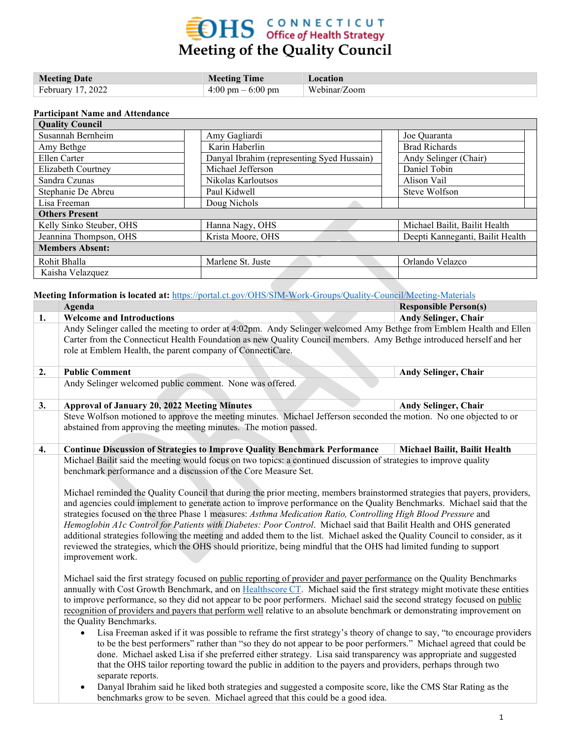# **EDHS** CONNECTICUT<br>Meeting of the Quality Council

| <b>Meeting Date</b> | <b>Meeting Time</b>                 | <b>Location</b> |
|---------------------|-------------------------------------|-----------------|
| February 17, 2022   | $4:00 \text{ pm} - 6:00 \text{ pm}$ | Webinar/Zoom    |

#### **Participant Name and Attendance**

| <b>Quality Council</b>   |                                            |                                  |  |
|--------------------------|--------------------------------------------|----------------------------------|--|
| Susannah Bernheim        | Amy Gagliardi                              | Joe Quaranta                     |  |
| Amy Bethge               | Karin Haberlin                             | <b>Brad Richards</b>             |  |
| Ellen Carter             | Danyal Ibrahim (representing Syed Hussain) | Andy Selinger (Chair)            |  |
| Elizabeth Courtney       | Michael Jefferson                          | Daniel Tobin                     |  |
| Sandra Czunas            | Nikolas Karloutsos                         | Alison Vail                      |  |
| Stephanie De Abreu       | Paul Kidwell                               | Steve Wolfson                    |  |
| Lisa Freeman             | Doug Nichols                               |                                  |  |
| <b>Others Present</b>    |                                            |                                  |  |
| Kelly Sinko Steuber, OHS | Hanna Nagy, OHS                            | Michael Bailit, Bailit Health    |  |
| Jeannina Thompson, OHS   | Krista Moore, OHS                          | Deepti Kanneganti, Bailit Health |  |
| <b>Members Absent:</b>   |                                            |                                  |  |
| Rohit Bhalla             | Marlene St. Juste                          | Orlando Velazco                  |  |
| Kaisha Velazquez         |                                            |                                  |  |

**Meeting Information is located at:** <https://portal.ct.gov/OHS/SIM-Work-Groups/Quality-Council/Meeting-Materials>

|    | Agenda                                                                                                                                                                                                                                                                                                                                                                                                                                                                                                                                                                                                                                                                                                                                                                                                                                                                                                                                                                                                                                                                                                                                                                                    | <b>Responsible Person(s)</b>  |
|----|-------------------------------------------------------------------------------------------------------------------------------------------------------------------------------------------------------------------------------------------------------------------------------------------------------------------------------------------------------------------------------------------------------------------------------------------------------------------------------------------------------------------------------------------------------------------------------------------------------------------------------------------------------------------------------------------------------------------------------------------------------------------------------------------------------------------------------------------------------------------------------------------------------------------------------------------------------------------------------------------------------------------------------------------------------------------------------------------------------------------------------------------------------------------------------------------|-------------------------------|
| 1. | <b>Welcome and Introductions</b>                                                                                                                                                                                                                                                                                                                                                                                                                                                                                                                                                                                                                                                                                                                                                                                                                                                                                                                                                                                                                                                                                                                                                          | <b>Andy Selinger, Chair</b>   |
|    | Andy Selinger called the meeting to order at 4:02pm. Andy Selinger welcomed Amy Bethge from Emblem Health and Ellen<br>Carter from the Connecticut Health Foundation as new Quality Council members. Amy Bethge introduced herself and her<br>role at Emblem Health, the parent company of ConnectiCare.                                                                                                                                                                                                                                                                                                                                                                                                                                                                                                                                                                                                                                                                                                                                                                                                                                                                                  |                               |
| 2. | <b>Public Comment</b>                                                                                                                                                                                                                                                                                                                                                                                                                                                                                                                                                                                                                                                                                                                                                                                                                                                                                                                                                                                                                                                                                                                                                                     | <b>Andy Selinger, Chair</b>   |
|    | Andy Selinger welcomed public comment. None was offered.                                                                                                                                                                                                                                                                                                                                                                                                                                                                                                                                                                                                                                                                                                                                                                                                                                                                                                                                                                                                                                                                                                                                  |                               |
| 3. | <b>Approval of January 20, 2022 Meeting Minutes</b>                                                                                                                                                                                                                                                                                                                                                                                                                                                                                                                                                                                                                                                                                                                                                                                                                                                                                                                                                                                                                                                                                                                                       | <b>Andy Selinger, Chair</b>   |
|    | Steve Wolfson motioned to approve the meeting minutes. Michael Jefferson seconded the motion. No one objected to or                                                                                                                                                                                                                                                                                                                                                                                                                                                                                                                                                                                                                                                                                                                                                                                                                                                                                                                                                                                                                                                                       |                               |
|    | abstained from approving the meeting minutes. The motion passed.                                                                                                                                                                                                                                                                                                                                                                                                                                                                                                                                                                                                                                                                                                                                                                                                                                                                                                                                                                                                                                                                                                                          |                               |
| 4. | <b>Continue Discussion of Strategies to Improve Quality Benchmark Performance</b>                                                                                                                                                                                                                                                                                                                                                                                                                                                                                                                                                                                                                                                                                                                                                                                                                                                                                                                                                                                                                                                                                                         | Michael Bailit, Bailit Health |
|    | Michael Bailit said the meeting would focus on two topics: a continued discussion of strategies to improve quality<br>benchmark performance and a discussion of the Core Measure Set.<br>Michael reminded the Quality Council that during the prior meeting, members brainstormed strategies that payers, providers,<br>and agencies could implement to generate action to improve performance on the Quality Benchmarks. Michael said that the<br>strategies focused on the three Phase 1 measures: Asthma Medication Ratio, Controlling High Blood Pressure and<br>Hemoglobin A1c Control for Patients with Diabetes: Poor Control. Michael said that Bailit Health and OHS generated<br>additional strategies following the meeting and added them to the list. Michael asked the Quality Council to consider, as it<br>reviewed the strategies, which the OHS should prioritize, being mindful that the OHS had limited funding to support<br>improvement work.                                                                                                                                                                                                                       |                               |
|    | Michael said the first strategy focused on public reporting of provider and payer performance on the Quality Benchmarks<br>annually with Cost Growth Benchmark, and on Healthscore CT. Michael said the first strategy might motivate these entities<br>to improve performance, so they did not appear to be poor performers. Michael said the second strategy focused on public<br>recognition of providers and payers that perform well relative to an absolute benchmark or demonstrating improvement on<br>the Quality Benchmarks.<br>Lisa Freeman asked if it was possible to reframe the first strategy's theory of change to say, "to encourage providers<br>$\bullet$<br>to be the best performers" rather than "so they do not appear to be poor performers." Michael agreed that could be<br>done. Michael asked Lisa if she preferred either strategy. Lisa said transparency was appropriate and suggested<br>that the OHS tailor reporting toward the public in addition to the payers and providers, perhaps through two<br>separate reports.<br>Danyal Ibrahim said he liked both strategies and suggested a composite score, like the CMS Star Rating as the<br>$\bullet$ |                               |
|    | benchmarks grow to be seven. Michael agreed that this could be a good idea.                                                                                                                                                                                                                                                                                                                                                                                                                                                                                                                                                                                                                                                                                                                                                                                                                                                                                                                                                                                                                                                                                                               |                               |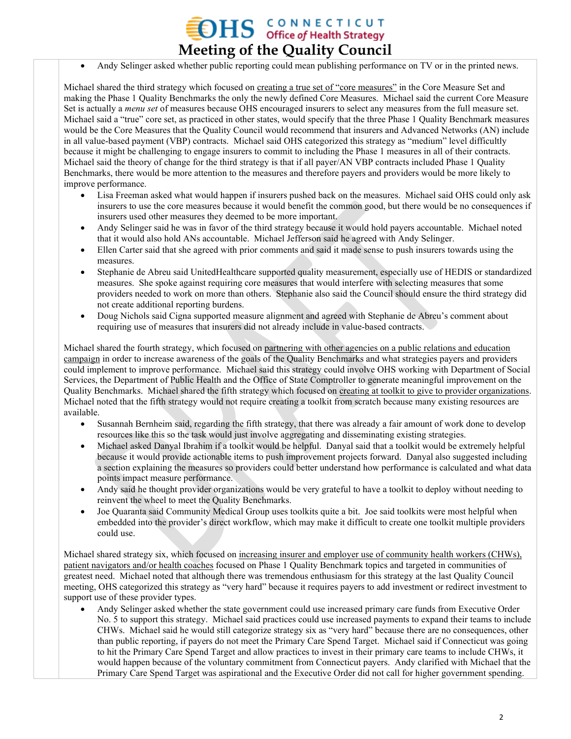• Andy Selinger asked whether public reporting could mean publishing performance on TV or in the printed news.

**Meeting of the Quality Council**

 $\sum_{\text{office of Health Strategy}}$ 

Michael shared the third strategy which focused on creating a true set of "core measures" in the Core Measure Set and making the Phase 1 Quality Benchmarks the only the newly defined Core Measures. Michael said the current Core Measure Set is actually a *menu set* of measures because OHS encouraged insurers to select any measures from the full measure set. Michael said a "true" core set, as practiced in other states, would specify that the three Phase 1 Quality Benchmark measures would be the Core Measures that the Quality Council would recommend that insurers and Advanced Networks (AN) include in all value-based payment (VBP) contracts. Michael said OHS categorized this strategy as "medium" level difficultly because it might be challenging to engage insurers to commit to including the Phase 1 measures in all of their contracts. Michael said the theory of change for the third strategy is that if all payer/AN VBP contracts included Phase 1 Quality Benchmarks, there would be more attention to the measures and therefore payers and providers would be more likely to improve performance.

- Lisa Freeman asked what would happen if insurers pushed back on the measures. Michael said OHS could only ask insurers to use the core measures because it would benefit the common good, but there would be no consequences if insurers used other measures they deemed to be more important.
- Andy Selinger said he was in favor of the third strategy because it would hold payers accountable. Michael noted that it would also hold ANs accountable. Michael Jefferson said he agreed with Andy Selinger.
- Ellen Carter said that she agreed with prior comments and said it made sense to push insurers towards using the measures.
- Stephanie de Abreu said UnitedHealthcare supported quality measurement, especially use of HEDIS or standardized measures. She spoke against requiring core measures that would interfere with selecting measures that some providers needed to work on more than others. Stephanie also said the Council should ensure the third strategy did not create additional reporting burdens.
- Doug Nichols said Cigna supported measure alignment and agreed with Stephanie de Abreu's comment about requiring use of measures that insurers did not already include in value-based contracts.

Michael shared the fourth strategy, which focused on partnering with other agencies on a public relations and education campaign in order to increase awareness of the goals of the Quality Benchmarks and what strategies payers and providers could implement to improve performance. Michael said this strategy could involve OHS working with Department of Social Services, the Department of Public Health and the Office of State Comptroller to generate meaningful improvement on the Quality Benchmarks. Michael shared the fifth strategy which focused on creating at toolkit to give to provider organizations. Michael noted that the fifth strategy would not require creating a toolkit from scratch because many existing resources are available.

- Susannah Bernheim said, regarding the fifth strategy, that there was already a fair amount of work done to develop resources like this so the task would just involve aggregating and disseminating existing strategies.
- Michael asked Danyal Ibrahim if a toolkit would be helpful. Danyal said that a toolkit would be extremely helpful because it would provide actionable items to push improvement projects forward. Danyal also suggested including a section explaining the measures so providers could better understand how performance is calculated and what data points impact measure performance.
- Andy said he thought provider organizations would be very grateful to have a toolkit to deploy without needing to reinvent the wheel to meet the Quality Benchmarks.
- Joe Quaranta said Community Medical Group uses toolkits quite a bit. Joe said toolkits were most helpful when embedded into the provider's direct workflow, which may make it difficult to create one toolkit multiple providers could use.

Michael shared strategy six, which focused on increasing insurer and employer use of community health workers (CHWs), patient navigators and/or health coaches focused on Phase 1 Quality Benchmark topics and targeted in communities of greatest need. Michael noted that although there was tremendous enthusiasm for this strategy at the last Quality Council meeting, OHS categorized this strategy as "very hard" because it requires payers to add investment or redirect investment to support use of these provider types.

• Andy Selinger asked whether the state government could use increased primary care funds from Executive Order No. 5 to support this strategy. Michael said practices could use increased payments to expand their teams to include CHWs. Michael said he would still categorize strategy six as "very hard" because there are no consequences, other than public reporting, if payers do not meet the Primary Care Spend Target. Michael said if Connecticut was going to hit the Primary Care Spend Target and allow practices to invest in their primary care teams to include CHWs, it would happen because of the voluntary commitment from Connecticut payers. Andy clarified with Michael that the Primary Care Spend Target was aspirational and the Executive Order did not call for higher government spending.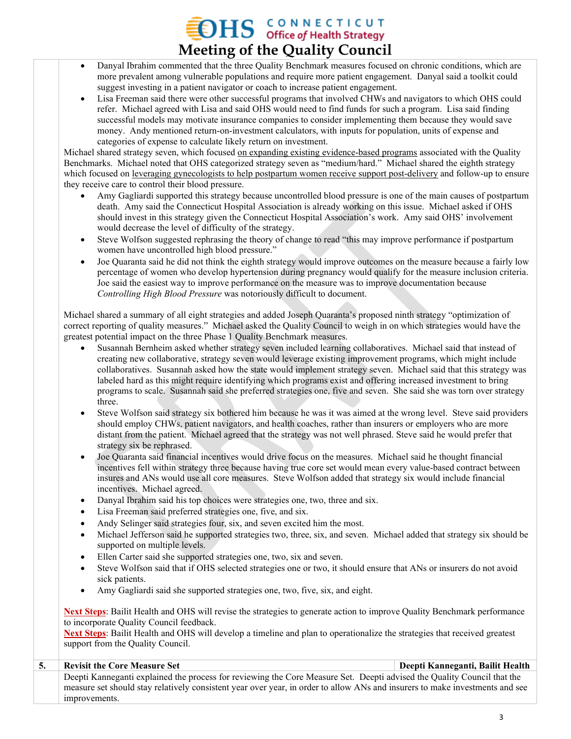### $\sum_{\text{office of Health Strategy}}$ **Meeting of the Quality Council**

- Danyal Ibrahim commented that the three Quality Benchmark measures focused on chronic conditions, which are more prevalent among vulnerable populations and require more patient engagement. Danyal said a toolkit could suggest investing in a patient navigator or coach to increase patient engagement.
- Lisa Freeman said there were other successful programs that involved CHWs and navigators to which OHS could refer. Michael agreed with Lisa and said OHS would need to find funds for such a program. Lisa said finding successful models may motivate insurance companies to consider implementing them because they would save money. Andy mentioned return-on-investment calculators, with inputs for population, units of expense and categories of expense to calculate likely return on investment.

Michael shared strategy seven, which focused on expanding existing evidence-based programs associated with the Quality Benchmarks. Michael noted that OHS categorized strategy seven as "medium/hard." Michael shared the eighth strategy which focused on <u>leveraging gynecologists</u> to help postpartum women receive support post-delivery and follow-up to ensure they receive care to control their blood pressure.

- Amy Gagliardi supported this strategy because uncontrolled blood pressure is one of the main causes of postpartum death. Amy said the Connecticut Hospital Association is already working on this issue. Michael asked if OHS should invest in this strategy given the Connecticut Hospital Association's work. Amy said OHS' involvement would decrease the level of difficulty of the strategy.
- Steve Wolfson suggested rephrasing the theory of change to read "this may improve performance if postpartum women have uncontrolled high blood pressure."
- Joe Quaranta said he did not think the eighth strategy would improve outcomes on the measure because a fairly low percentage of women who develop hypertension during pregnancy would qualify for the measure inclusion criteria. Joe said the easiest way to improve performance on the measure was to improve documentation because *Controlling High Blood Pressure* was notoriously difficult to document.

Michael shared a summary of all eight strategies and added Joseph Quaranta's proposed ninth strategy "optimization of correct reporting of quality measures." Michael asked the Quality Council to weigh in on which strategies would have the greatest potential impact on the three Phase 1 Quality Benchmark measures.

- Susannah Bernheim asked whether strategy seven included learning collaboratives. Michael said that instead of creating new collaborative, strategy seven would leverage existing improvement programs, which might include collaboratives. Susannah asked how the state would implement strategy seven. Michael said that this strategy was labeled hard as this might require identifying which programs exist and offering increased investment to bring programs to scale. Susannah said she preferred strategies one, five and seven. She said she was torn over strategy three.
- Steve Wolfson said strategy six bothered him because he was it was aimed at the wrong level. Steve said providers should employ CHWs, patient navigators, and health coaches, rather than insurers or employers who are more distant from the patient. Michael agreed that the strategy was not well phrased. Steve said he would prefer that strategy six be rephrased.
- Joe Quaranta said financial incentives would drive focus on the measures. Michael said he thought financial incentives fell within strategy three because having true core set would mean every value-based contract between insures and ANs would use all core measures. Steve Wolfson added that strategy six would include financial incentives. Michael agreed.
- Danyal Ibrahim said his top choices were strategies one, two, three and six.
- Lisa Freeman said preferred strategies one, five, and six.
- Andy Selinger said strategies four, six, and seven excited him the most.
- Michael Jefferson said he supported strategies two, three, six, and seven. Michael added that strategy six should be supported on multiple levels.
- Ellen Carter said she supported strategies one, two, six and seven.
- Steve Wolfson said that if OHS selected strategies one or two, it should ensure that ANs or insurers do not avoid sick patients.
- Amy Gagliardi said she supported strategies one, two, five, six, and eight.

**Next Steps**: Bailit Health and OHS will revise the strategies to generate action to improve Quality Benchmark performance to incorporate Quality Council feedback.

**Next Steps**: Bailit Health and OHS will develop a timeline and plan to operationalize the strategies that received greatest support from the Quality Council.

| <b>Revisit the Core Measure Set</b>                                                                                          | Deepti Kanneganti, Bailit Health |
|------------------------------------------------------------------------------------------------------------------------------|----------------------------------|
| Deepti Kanneganti explained the process for reviewing the Core Measure Set. Deepti advised the Quality Council that the      |                                  |
| measure set should stay relatively consistent year over year, in order to allow ANs and insurers to make investments and see |                                  |
| improvements.                                                                                                                |                                  |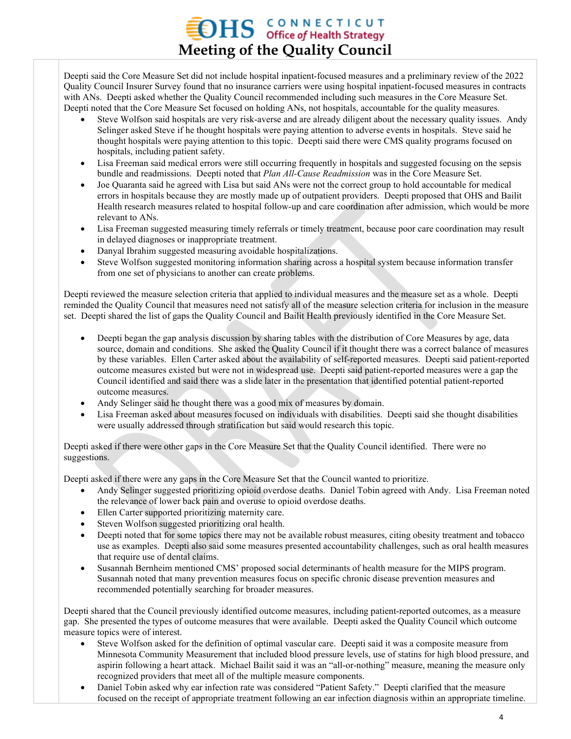### $\rm{DHS}$  CONNECTICUT office of Health Strategy **Meeting of the Quality Council**

Deepti said the Core Measure Set did not include hospital inpatient-focused measures and a preliminary review of the 2022 Quality Council Insurer Survey found that no insurance carriers were using hospital inpatient-focused measures in contracts with ANs. Deepti asked whether the Quality Council recommended including such measures in the Core Measure Set. Deepti noted that the Core Measure Set focused on holding ANs, not hospitals, accountable for the quality measures.

- Steve Wolfson said hospitals are very risk-averse and are already diligent about the necessary quality issues. Andy Selinger asked Steve if he thought hospitals were paying attention to adverse events in hospitals. Steve said he thought hospitals were paying attention to this topic. Deepti said there were CMS quality programs focused on hospitals, including patient safety.
- Lisa Freeman said medical errors were still occurring frequently in hospitals and suggested focusing on the sepsis bundle and readmissions. Deepti noted that *Plan All-Cause Readmission* was in the Core Measure Set.
- Joe Quaranta said he agreed with Lisa but said ANs were not the correct group to hold accountable for medical errors in hospitals because they are mostly made up of outpatient providers. Deepti proposed that OHS and Bailit Health research measures related to hospital follow-up and care coordination after admission, which would be more relevant to ANs.
- Lisa Freeman suggested measuring timely referrals or timely treatment, because poor care coordination may result in delayed diagnoses or inappropriate treatment.
- Danyal Ibrahim suggested measuring avoidable hospitalizations.
- Steve Wolfson suggested monitoring information sharing across a hospital system because information transfer from one set of physicians to another can create problems.

Deepti reviewed the measure selection criteria that applied to individual measures and the measure set as a whole. Deepti reminded the Quality Council that measures need not satisfy all of the measure selection criteria for inclusion in the measure set. Deepti shared the list of gaps the Quality Council and Bailit Health previously identified in the Core Measure Set.

- Deepti began the gap analysis discussion by sharing tables with the distribution of Core Measures by age, data source, domain and conditions. She asked the Quality Council if it thought there was a correct balance of measures by these variables. Ellen Carter asked about the availability of self-reported measures. Deepti said patient-reported outcome measures existed but were not in widespread use. Deepti said patient-reported measures were a gap the Council identified and said there was a slide later in the presentation that identified potential patient-reported outcome measures.
- Andy Selinger said he thought there was a good mix of measures by domain.
- Lisa Freeman asked about measures focused on individuals with disabilities. Deepti said she thought disabilities were usually addressed through stratification but said would research this topic.

Deepti asked if there were other gaps in the Core Measure Set that the Quality Council identified. There were no suggestions.

Deepti asked if there were any gaps in the Core Measure Set that the Council wanted to prioritize.

- Andy Selinger suggested prioritizing opioid overdose deaths. Daniel Tobin agreed with Andy. Lisa Freeman noted the relevance of lower back pain and overuse to opioid overdose deaths.
- Ellen Carter supported prioritizing maternity care.
- Steven Wolfson suggested prioritizing oral health.
- Deepti noted that for some topics there may not be available robust measures, citing obesity treatment and tobacco use as examples. Deepti also said some measures presented accountability challenges, such as oral health measures that require use of dental claims.
- Susannah Bernheim mentioned CMS' proposed social determinants of health measure for the MIPS program. Susannah noted that many prevention measures focus on specific chronic disease prevention measures and recommended potentially searching for broader measures.

Deepti shared that the Council previously identified outcome measures, including patient-reported outcomes, as a measure gap. She presented the types of outcome measures that were available. Deepti asked the Quality Council which outcome measure topics were of interest.

- Steve Wolfson asked for the definition of optimal vascular care. Deepti said it was a composite measure from Minnesota Community Measurement that included blood pressure levels, use of statins for high blood pressure, and aspirin following a heart attack. Michael Bailit said it was an "all-or-nothing" measure, meaning the measure only recognized providers that meet all of the multiple measure components.
- Daniel Tobin asked why ear infection rate was considered "Patient Safety." Deepti clarified that the measure focused on the receipt of appropriate treatment following an ear infection diagnosis within an appropriate timeline.